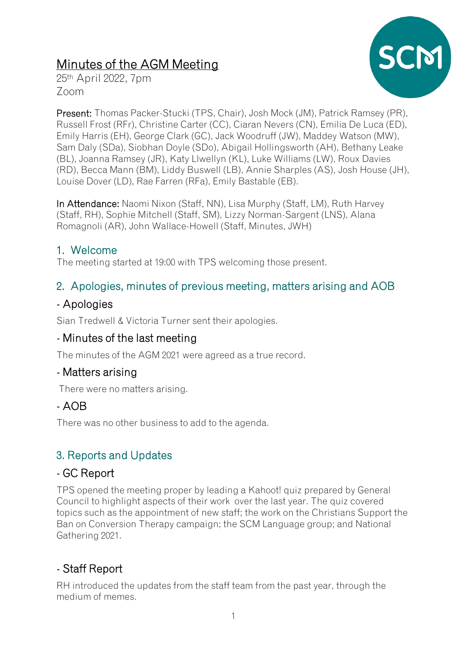# Minutes of the AGM Meeting



25th April 2022, 7pm Zoom

Present: Thomas Packer-Stucki (TPS, Chair), Josh Mock (JM), Patrick Ramsey (PR), Russell Frost (RFr), Christine Carter (CC), Ciaran Nevers (CN), Emilia De Luca (ED), Emily Harris (EH), George Clark (GC), Jack Woodruff (JW), Maddey Watson (MW), Sam Daly (SDa), Siobhan Doyle (SDo), Abigail Hollingsworth (AH), Bethany Leake (BL), Joanna Ramsey (JR), Katy Llwellyn (KL), Luke Williams (LW), Roux Davies (RD), Becca Mann (BM), Liddy Buswell (LB), Annie Sharples (AS), Josh House (JH), Louise Dover (LD), Rae Farren (RFa), Emily Bastable (EB).

In Attendance: Naomi Nixon (Staff, NN), Lisa Murphy (Staff, LM), Ruth Harvey (Staff, RH), Sophie Mitchell (Staff, SM), Lizzy Norman-Sargent (LNS), Alana Romagnoli (AR), John Wallace-Howell (Staff, Minutes, JWH)

## 1. Welcome

The meeting started at 19:00 with TPS welcoming those present.

## 2. Apologies, minutes of previous meeting, matters arising and AOB

#### - Apologies

Sian Tredwell & Victoria Turner sent their apologies.

## - Minutes of the last meeting

The minutes of the AGM 2021 were agreed as a true record.

## - Matters arising

There were no matters arising.

## - AOB

There was no other business to add to the agenda.

## 3. Reports and Updates

#### - GC Report

TPS opened the meeting proper by leading a Kahoot! quiz prepared by General Council to highlight aspects of their work over the last year. The quiz covered topics such as the appointment of new staff; the work on the Christians Support the Ban on Conversion Therapy campaign; the SCM Language group; and National Gathering 2021.

## - Staff Report

RH introduced the updates from the staff team from the past year, through the medium of memes.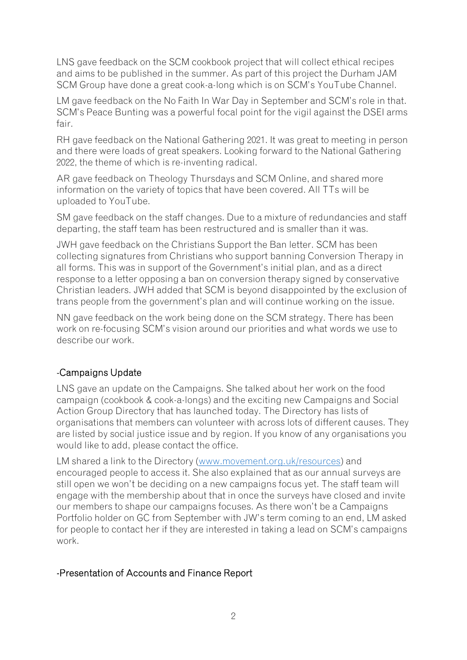LNS gave feedback on the SCM cookbook project that will collect ethical recipes and aims to be published in the summer. As part of this project the Durham JAM SCM Group have done a great cook-a-long which is on SCM's YouTube Channel.

LM gave feedback on the No Faith In War Day in September and SCM's role in that. SCM's Peace Bunting was a powerful focal point for the vigil against the DSEI arms fair.

RH gave feedback on the National Gathering 2021. It was great to meeting in person and there were loads of great speakers. Looking forward to the National Gathering 2022, the theme of which is re-inventing radical.

AR gave feedback on Theology Thursdays and SCM Online, and shared more information on the variety of topics that have been covered. All TTs will be uploaded to YouTube.

SM gave feedback on the staff changes. Due to a mixture of redundancies and staff departing, the staff team has been restructured and is smaller than it was.

JWH gave feedback on the Christians Support the Ban letter. SCM has been collecting signatures from Christians who support banning Conversion Therapy in all forms. This was in support of the Government's initial plan, and as a direct response to a letter opposing a ban on conversion therapy signed by conservative Christian leaders. JWH added that SCM is beyond disappointed by the exclusion of trans people from the government's plan and will continue working on the issue.

NN gave feedback on the work being done on the SCM strategy. There has been work on re-focusing SCM's vision around our priorities and what words we use to describe our work.

#### -Campaigns Update

LNS gave an update on the Campaigns. She talked about her work on the food campaign (cookbook & cook-a-longs) and the exciting new Campaigns and Social Action Group Directory that has launched today. The Directory has lists of organisations that members can volunteer with across lots of different causes. They are listed by social justice issue and by region. If you know of any organisations you would like to add, please contact the office.

LM shared a link to the Directory [\(www.movement.org.uk/resources\)](http://www.movement.org.uk/resources) and encouraged people to access it. She also explained that as our annual surveys are still open we won't be deciding on a new campaigns focus yet. The staff team will engage with the membership about that in once the surveys have closed and invite our members to shape our campaigns focuses. As there won't be a Campaigns Portfolio holder on GC from September with JW's term coming to an end, LM asked for people to contact her if they are interested in taking a lead on SCM's campaigns work.

#### -Presentation of Accounts and Finance Report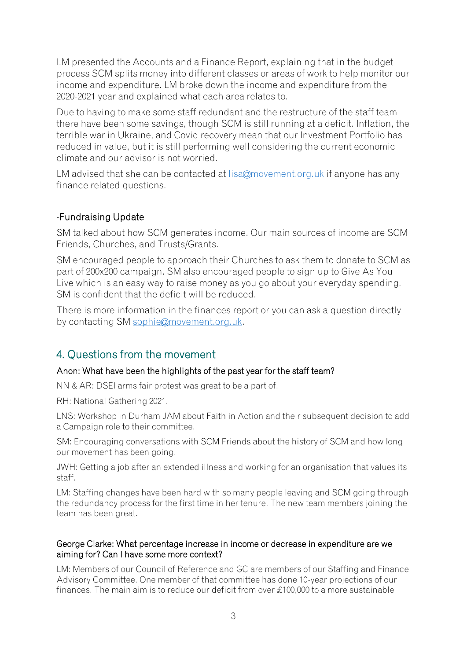LM presented the Accounts and a Finance Report, explaining that in the budget process SCM splits money into different classes or areas of work to help monitor our income and expenditure. LM broke down the income and expenditure from the 2020-2021 year and explained what each area relates to.

Due to having to make some staff redundant and the restructure of the staff team there have been some savings, though SCM is still running at a deficit. Inflation, the terrible war in Ukraine, and Covid recovery mean that our Investment Portfolio has reduced in value, but it is still performing well considering the current economic climate and our advisor is not worried.

LM advised that she can be contacted at [lisa@movement.org.uk](mailto:lisa@movement.org.uk) if anyone has any finance related questions.

#### -Fundraising Update

SM talked about how SCM generates income. Our main sources of income are SCM Friends, Churches, and Trusts/Grants.

SM encouraged people to approach their Churches to ask them to donate to SCM as part of 200x200 campaign. SM also encouraged people to sign up to Give As You Live which is an easy way to raise money as you go about your everyday spending. SM is confident that the deficit will be reduced.

There is more information in the finances report or you can ask a question directly by contacting SM [sophie@movement.org.uk.](mailto:sophie@movement.org.uk)

## 4. Questions from the movement

#### Anon: What have been the highlights of the past year for the staff team?

NN & AR: DSEI arms fair protest was great to be a part of.

RH: National Gathering 2021.

LNS: Workshop in Durham JAM about Faith in Action and their subsequent decision to add a Campaign role to their committee.

SM: Encouraging conversations with SCM Friends about the history of SCM and how long our movement has been going.

JWH: Getting a job after an extended illness and working for an organisation that values its staff.

LM: Staffing changes have been hard with so many people leaving and SCM going through the redundancy process for the first time in her tenure. The new team members joining the team has been great.

#### George Clarke: What percentage increase in income or decrease in expenditure are we aiming for? Can I have some more context?

LM: Members of our Council of Reference and GC are members of our Staffing and Finance Advisory Committee. One member of that committee has done 10-year projections of our finances. The main aim is to reduce our deficit from over £100,000 to a more sustainable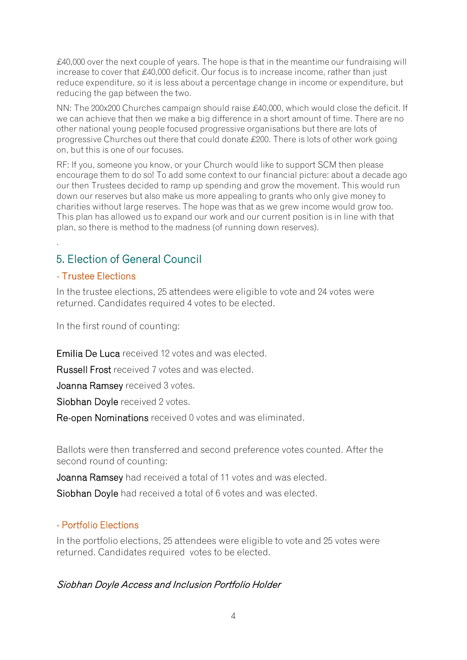£40,000 over the next couple of years. The hope is that in the meantime our fundraising will increase to cover that £40,000 deficit. Our focus is to increase income, rather than just reduce expenditure, so it is less about a percentage change in income or expenditure, but reducing the gap between the two.

NN: The 200x200 Churches campaign should raise £40,000, which would close the deficit. If we can achieve that then we make a big difference in a short amount of time. There are no other national young people focused progressive organisations but there are lots of progressive Churches out there that could donate £200. There is lots of other work going on, but this is one of our focuses.

RF: If you, someone you know, or your Church would like to support SCM then please encourage them to do so! To add some context to our financial picture: about a decade ago our then Trustees decided to ramp up spending and grow the movement. This would run down our reserves but also make us more appealing to grants who only give money to charities without large reserves. The hope was that as we grew income would grow too. This plan has allowed us to expand our work and our current position is in line with that plan, so there is method to the madness (of running down reserves).

## 5. Election of General Council

#### - Trustee Elections

.

In the trustee elections, 25 attendees were eligible to vote and 24 votes were returned. Candidates required 4 votes to be elected.

In the first round of counting:

Emilia De Luca received 12 votes and was elected.

Russell Frost received 7 votes and was elected.

Joanna Ramsey received 3 votes.

Siobhan Doyle received 2 votes.

Re-open Nominations received 0 votes and was eliminated.

Ballots were then transferred and second preference votes counted. After the second round of counting:

Joanna Ramsey had received a total of 11 votes and was elected.

Siobhan Doyle had received a total of 6 votes and was elected.

#### - Portfolio Elections

In the portfolio elections, 25 attendees were eligible to vote and 25 votes were returned. Candidates required votes to be elected.

#### Siobhan Doyle Access and Inclusion Portfolio Holder